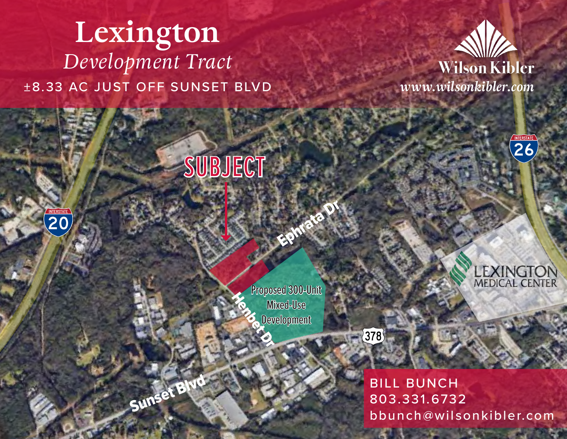# **Lexington**  *Development Tract* ±8.33 AC JUST OFF SUNSET BLVD *www.wilsonkibler.com*

 $\overline{20}$ 

Sunset Blvd



INTERSTATE

LEXINGTON





Ephrata Dr



BILL BUNCH 803.331.6732 bbunch@wilsonkibler.com

**ALL SECTION CONTROL**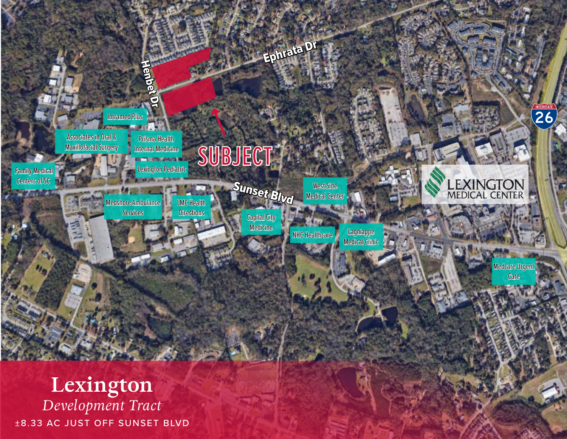

±8.33 AC JUST OFF SUNSET BLVD